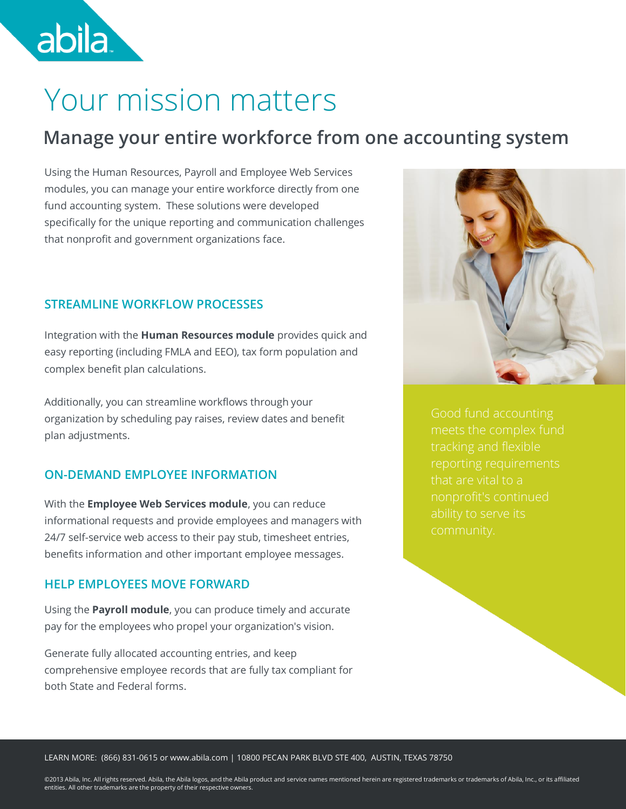# Your mission matters

abila.

### **Manage your entire workforce from one accounting system**

Using the Human Resources, Payroll and Employee Web Services modules, you can manage your entire workforce directly from one fund accounting system. These solutions were developed specifically for the unique reporting and communication challenges that nonprofit and government organizations face.

### **STREAMLINE WORKFLOW PROCESSES**

Integration with the **Human Resources module** provides quick and easy reporting (including FMLA and EEO), tax form population and complex benefit plan calculations.

Additionally, you can streamline workflows through your organization by scheduling pay raises, review dates and benefit plan adjustments.

### **ON-DEMAND EMPLOYEE INFORMATION**

With the **Employee Web Services module**, you can reduce informational requests and provide employees and managers with 24/7 self-service web access to their pay stub, timesheet entries, benefits information and other important employee messages.

### **HELP EMPLOYEES MOVE FORWARD**

Using the **Payroll module**, you can produce timely and accurate pay for the employees who propel your organization's vision.

Generate fully allocated accounting entries, and keep comprehensive employee records that are fully tax compliant for both State and Federal forms.



meets the complex fund nonprofit's continued ability to serve its

LEARN MORE: (866) 831-0615 or www.abila.com | 10800 PECAN PARK BLVD STE 400, AUSTIN, TEXAS 78750

©2013 Abila, Inc. All rights reserved. Abila, the Abila logos, and the Abila product and service names mentioned herein are registered trademarks or trademarks of Abila, Inc., or its affiliated entities. All other trademarks are the property of their respective owners.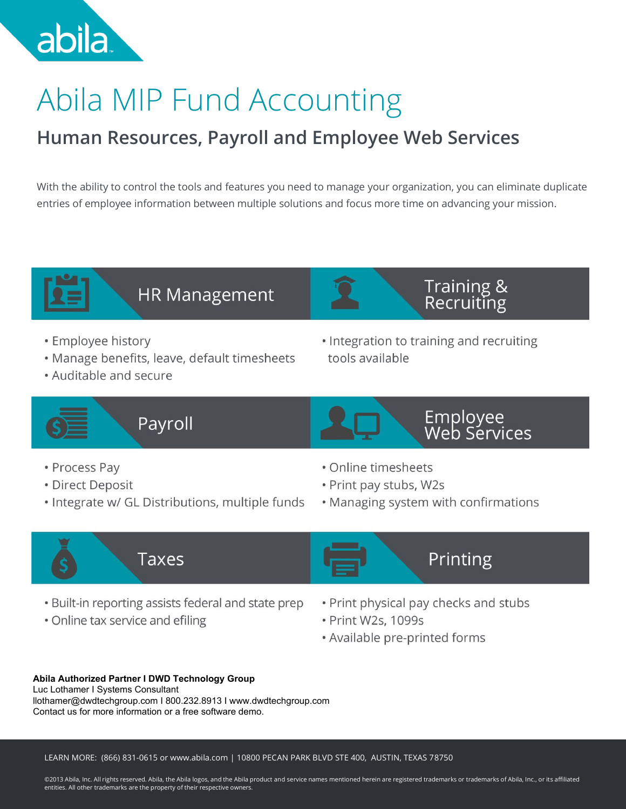

# Abila MIP Fund Accounting

## **Human Resources, Payroll and Employee Web Services**

With the ability to control the tools and features you need to manage your organization, you can eliminate duplicate entries of employee information between multiple solutions and focus more time on advancing your mission.



## **HR Management**

- Employee history
- · Manage benefits, leave, default timesheets
- Auditable and secure

• Integration to training and recruiting tools available



Payroll



```
Employee<br>Web Services
```
Training &

Recruiting

- Process Pay
- Direct Deposit
- · Integrate w/ GL Distributions, multiple funds
- Online timesheets
- . Print pay stubs, W2s
- Managing system with confirmations

Printing



- . Built-in reporting assists federal and state prep
- Online tax service and efiling
- . Print physical pay checks and stubs
- · Print W2s, 1099s
- Available pre-printed forms

### **Abila Authorized Partner I DWD Technology Group**

Luc Lothamer I Systems Consultant llothamer@dwdtechgroup.com I 800.232.8913 I www.dwdtechgroup.com Contact us for more information or a free software demo.

LEARN MORE: (866) 831-0615 or www.abila.com | 10800 PECAN PARK BLVD STE 400, AUSTIN, TEXAS 78750

©2013 Abila, Inc. All rights reserved. Abila, the Abila logos, and the Abila product and service names mentioned herein are registered trademarks or trademarks of Abila, Inc., or its affiliated entities. All other trademarks are the property of their respective owners.